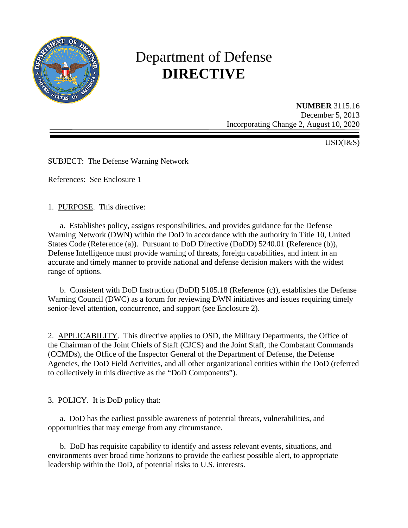

# Department of Defense **DIRECTIVE**

**NUMBER** 3115.16 December 5, 2013 Incorporating Change 2, August 10, 2020

USD(I&S)

SUBJECT: The Defense Warning Network

References: See Enclosure 1

1. PURPOSE. This directive:

a. Establishes policy, assigns responsibilities, and provides guidance for the Defense Warning Network (DWN) within the DoD in accordance with the authority in Title 10, United States Code (Reference (a)). Pursuant to DoD Directive (DoDD) 5240.01 (Reference (b)), Defense Intelligence must provide warning of threats, foreign capabilities, and intent in an accurate and timely manner to provide national and defense decision makers with the widest range of options.

 b. Consistent with DoD Instruction (DoDI) 5105.18 (Reference (c)), establishes the Defense Warning Council (DWC) as a forum for reviewing DWN initiatives and issues requiring timely senior-level attention, concurrence, and support (see Enclosure 2).

2. APPLICABILITY. This directive applies to OSD, the Military Departments, the Office of the Chairman of the Joint Chiefs of Staff (CJCS) and the Joint Staff, the Combatant Commands (CCMDs), the Office of the Inspector General of the Department of Defense, the Defense Agencies, the DoD Field Activities, and all other organizational entities within the DoD (referred to collectively in this directive as the "DoD Components").

3. POLICY. It is DoD policy that:

 a. DoD has the earliest possible awareness of potential threats, vulnerabilities, and opportunities that may emerge from any circumstance.

 b. DoD has requisite capability to identify and assess relevant events, situations, and environments over broad time horizons to provide the earliest possible alert, to appropriate leadership within the DoD, of potential risks to U.S. interests.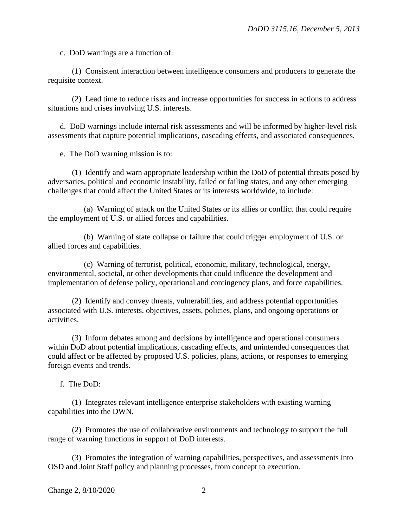c. DoD warnings are a function of:

 (1) Consistent interaction between intelligence consumers and producers to generate the requisite context.

 (2) Lead time to reduce risks and increase opportunities for success in actions to address situations and crises involving U.S. interests.

 d. DoD warnings include internal risk assessments and will be informed by higher-level risk assessments that capture potential implications, cascading effects, and associated consequences.

e. The DoD warning mission is to:

 (1) Identify and warn appropriate leadership within the DoD of potential threats posed by adversaries, political and economic instability, failed or failing states, and any other emerging challenges that could affect the United States or its interests worldwide, to include:

 (a) Warning of attack on the United States or its allies or conflict that could require the employment of U.S. or allied forces and capabilities.

 (b) Warning of state collapse or failure that could trigger employment of U.S. or allied forces and capabilities.

 (c) Warning of terrorist, political, economic, military, technological, energy, environmental, societal, or other developments that could influence the development and implementation of defense policy, operational and contingency plans, and force capabilities.

 (2) Identify and convey threats, vulnerabilities, and address potential opportunities associated with U.S. interests, objectives, assets, policies, plans, and ongoing operations or activities.

 (3) Inform debates among and decisions by intelligence and operational consumers within DoD about potential implications, cascading effects, and unintended consequences that could affect or be affected by proposed U.S. policies, plans, actions, or responses to emerging foreign events and trends.

f. The DoD:

 (1) Integrates relevant intelligence enterprise stakeholders with existing warning capabilities into the DWN.

 (2) Promotes the use of collaborative environments and technology to support the full range of warning functions in support of DoD interests.

 (3) Promotes the integration of warning capabilities, perspectives, and assessments into OSD and Joint Staff policy and planning processes, from concept to execution.

Change 2, 8/10/2020 2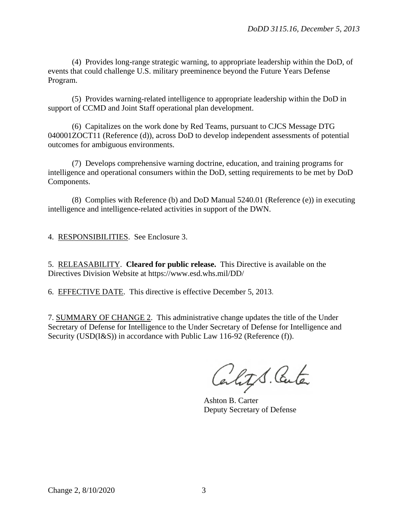(4) Provides long-range strategic warning, to appropriate leadership within the DoD, of events that could challenge U.S. military preeminence beyond the Future Years Defense Program.

 (5) Provides warning-related intelligence to appropriate leadership within the DoD in support of CCMD and Joint Staff operational plan development.

 (6) Capitalizes on the work done by Red Teams, pursuant to CJCS Message DTG 040001ZOCT11 (Reference (d)), across DoD to develop independent assessments of potential outcomes for ambiguous environments.

 (7) Develops comprehensive warning doctrine, education, and training programs for intelligence and operational consumers within the DoD, setting requirements to be met by DoD Components.

 (8) Complies with Reference (b) and DoD Manual 5240.01 (Reference (e)) in executing intelligence and intelligence-related activities in support of the DWN.

4. RESPONSIBILITIES. See Enclosure 3.

5. RELEASABILITY. **Cleared for public release.** This Directive is available on the Directives Division Website at [https://www.esd.whs.mil/DD/](http://www.esd.whs.mil/DD/)

6. EFFECTIVE DATE. This directive is effective December 5, 2013.

7. SUMMARY OF CHANGE 2. This administrative change updates the title of the Under Secretary of Defense for Intelligence to the Under Secretary of Defense for Intelligence and Security (USD(I&S)) in accordance with Public Law 116-92 (Reference (f)).

Cality S. Center

Ashton B. Carter Deputy Secretary of Defense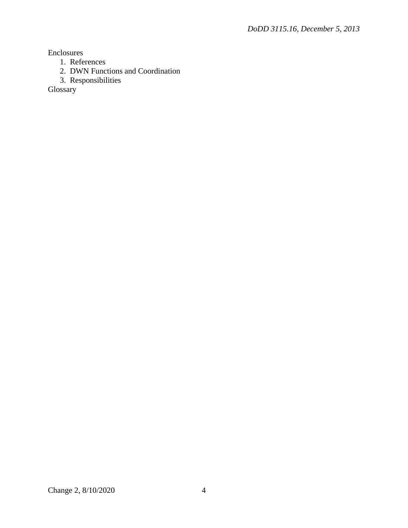Enclosures

- 1. References
- 2. DWN Functions and Coordination
- 3. Responsibilities

Glossary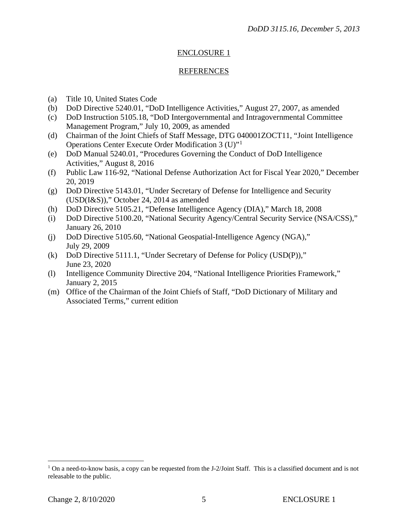## ENCLOSURE 1

#### REFERENCES

- (a) Title 10, United States Code
- (b) DoD Directive 5240.01, "DoD Intelligence Activities," August 27, 2007, as amended
- (c) DoD Instruction 5105.18, "DoD Intergovernmental and Intragovernmental Committee Management Program," July 10, 2009, as amended
- (d) Chairman of the Joint Chiefs of Staff Message, DTG 040001ZOCT11, "Joint Intelligence Operations Center Execute Order Modification 3 (U)"[1](#page-4-0)
- (e) DoD Manual 5240.01, "Procedures Governing the Conduct of DoD Intelligence Activities," August 8, 2016
- (f) Public Law 116-92, "National Defense Authorization Act for Fiscal Year 2020," December 20, 2019
- (g) DoD Directive 5143.01, "Under Secretary of Defense for Intelligence and Security (USD(I&S))," October 24, 2014 as amended
- (h) DoD Directive 5105.21, "Defense Intelligence Agency (DIA)," March 18, 2008
- (i) DoD Directive 5100.20, "National Security Agency/Central Security Service (NSA/CSS)," January 26, 2010
- (j) DoD Directive 5105.60, "National Geospatial-Intelligence Agency (NGA)," July 29, 2009
- (k) DoD Directive 5111.1, "Under Secretary of Defense for Policy (USD(P))," June 23, 2020
- (l) Intelligence Community Directive 204, "National Intelligence Priorities Framework," January 2, 2015
- (m) Office of the Chairman of the Joint Chiefs of Staff, "DoD Dictionary of Military and Associated Terms," current edition

 $\overline{a}$ 

<span id="page-4-0"></span> $1$  On a need-to-know basis, a copy can be requested from the J-2/Joint Staff. This is a classified document and is not releasable to the public.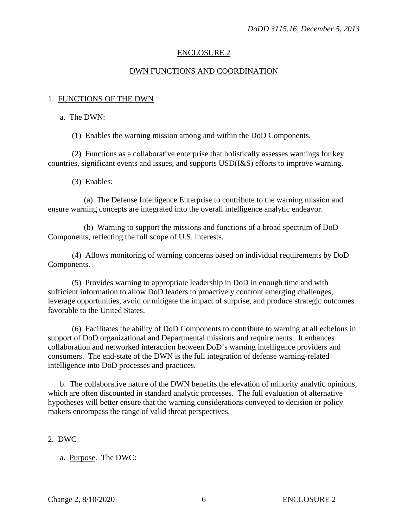## ENCLOSURE 2

## DWN FUNCTIONS AND COORDINATION

## 1. FUNCTIONS OF THE DWN

a. The DWN:

(1) Enables the warning mission among and within the DoD Components.

(2) Functions as a collaborative enterprise that holistically assesses warnings for key countries, significant events and issues, and supports USD(I&S) efforts to improve warning.

(3) Enables:

(a) The Defense Intelligence Enterprise to contribute to the warning mission and ensure warning concepts are integrated into the overall intelligence analytic endeavor.

(b) Warning to support the missions and functions of a broad spectrum of DoD Components, reflecting the full scope of U.S. interests.

(4) Allows monitoring of warning concerns based on individual requirements by DoD Components.

(5) Provides warning to appropriate leadership in DoD in enough time and with sufficient information to allow DoD leaders to proactively confront emerging challenges, leverage opportunities, avoid or mitigate the impact of surprise, and produce strategic outcomes favorable to the United States.

(6) Facilitates the ability of DoD Components to contribute to warning at all echelons in support of DoD organizational and Departmental missions and requirements. It enhances collaboration and networked interaction between DoD's warning intelligence providers and consumers. The end-state of the DWN is the full integration of defense warning-related intelligence into DoD processes and practices.

b. The collaborative nature of the DWN benefits the elevation of minority analytic opinions, which are often discounted in standard analytic processes. The full evaluation of alternative hypotheses will better ensure that the warning considerations conveyed to decision or policy makers encompass the range of valid threat perspectives.

## 2. DWC

a. Purpose. The DWC: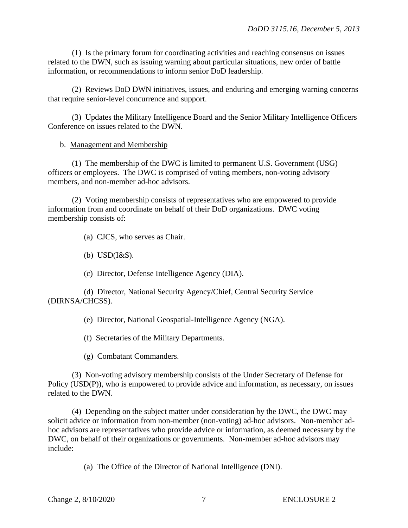(1) Is the primary forum for coordinating activities and reaching consensus on issues related to the DWN, such as issuing warning about particular situations, new order of battle information, or recommendations to inform senior DoD leadership.

 (2) Reviews DoD DWN initiatives, issues, and enduring and emerging warning concerns that require senior-level concurrence and support.

 (3) Updates the Military Intelligence Board and the Senior Military Intelligence Officers Conference on issues related to the DWN.

#### b. Management and Membership

 (1) The membership of the DWC is limited to permanent U.S. Government (USG) officers or employees. The DWC is comprised of voting members, non-voting advisory members, and non-member ad-hoc advisors.

 (2) Voting membership consists of representatives who are empowered to provide information from and coordinate on behalf of their DoD organizations. DWC voting membership consists of:

(a) CJCS, who serves as Chair.

(b) USD(I&S).

(c) Director, Defense Intelligence Agency (DIA).

 (d) Director, National Security Agency/Chief, Central Security Service (DIRNSA/CHCSS).

(e) Director, National Geospatial-Intelligence Agency (NGA).

(f) Secretaries of the Military Departments.

(g) Combatant Commanders.

 (3) Non-voting advisory membership consists of the Under Secretary of Defense for Policy (USD(P)), who is empowered to provide advice and information, as necessary, on issues related to the DWN.

 (4) Depending on the subject matter under consideration by the DWC, the DWC may solicit advice or information from non-member (non-voting) ad-hoc advisors. Non-member adhoc advisors are representatives who provide advice or information, as deemed necessary by the DWC, on behalf of their organizations or governments. Non-member ad-hoc advisors may include:

(a) The Office of the Director of National Intelligence (DNI).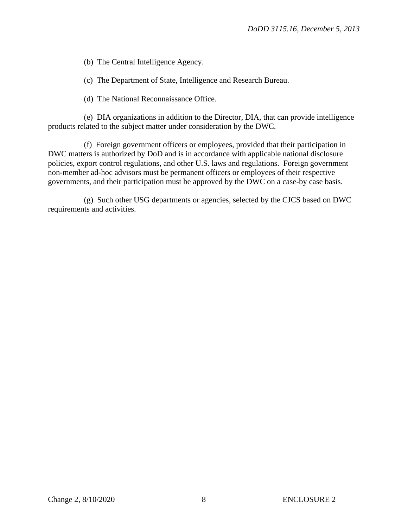(b) The Central Intelligence Agency.

(c) The Department of State, Intelligence and Research Bureau.

(d) The National Reconnaissance Office.

 (e) DIA organizations in addition to the Director, DIA, that can provide intelligence products related to the subject matter under consideration by the DWC.

 (f) Foreign government officers or employees, provided that their participation in DWC matters is authorized by DoD and is in accordance with applicable national disclosure policies, export control regulations, and other U.S. laws and regulations. Foreign government non-member ad-hoc advisors must be permanent officers or employees of their respective governments, and their participation must be approved by the DWC on a case-by case basis.

 (g) Such other USG departments or agencies, selected by the CJCS based on DWC requirements and activities.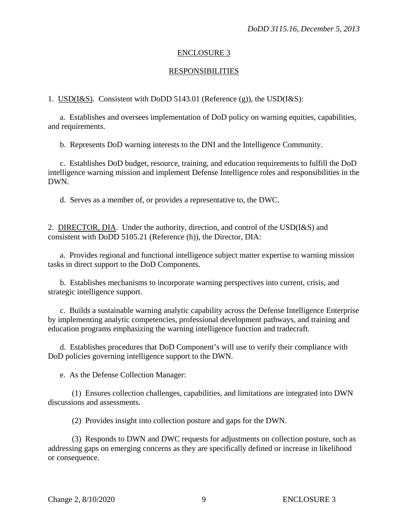## ENCLOSURE 3

## RESPONSIBILITIES

1. USD(I&S). Consistent with DoDD 5143.01 (Reference (g)), the USD(I&S):

a. Establishes and oversees implementation of DoD policy on warning equities, capabilities, and requirements.

b. Represents DoD warning interests to the DNI and the Intelligence Community.

 c. Establishes DoD budget, resource, training, and education requirements to fulfill the DoD intelligence warning mission and implement Defense Intelligence roles and responsibilities in the DWN.

d. Serves as a member of, or provides a representative to, the DWC.

2. DIRECTOR, DIA. Under the authority, direction, and control of the USD(I&S) and consistent with DoDD 5105.21 (Reference (h)), the Director, DIA:

 a. Provides regional and functional intelligence subject matter expertise to warning mission tasks in direct support to the DoD Components.

 b. Establishes mechanisms to incorporate warning perspectives into current, crisis, and strategic intelligence support.

 c. Builds a sustainable warning analytic capability across the Defense Intelligence Enterprise by implementing analytic competencies, professional development pathways, and training and education programs emphasizing the warning intelligence function and tradecraft.

 d. Establishes procedures that DoD Component's will use to verify their compliance with DoD policies governing intelligence support to the DWN.

e. As the Defense Collection Manager:

 (1) Ensures collection challenges, capabilities, and limitations are integrated into DWN discussions and assessments.

(2) Provides insight into collection posture and gaps for the DWN.

 (3) Responds to DWN and DWC requests for adjustments on collection posture, such as addressing gaps on emerging concerns as they are specifically defined or increase in likelihood or consequence.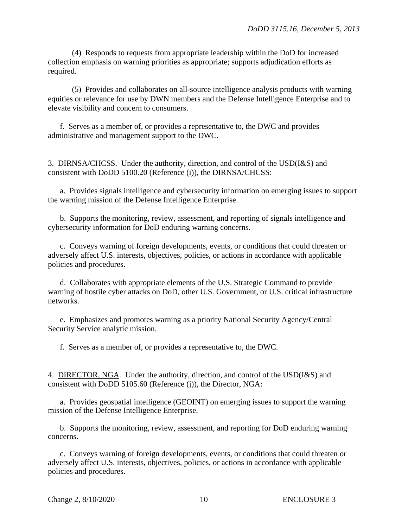(4) Responds to requests from appropriate leadership within the DoD for increased collection emphasis on warning priorities as appropriate; supports adjudication efforts as required.

 (5) Provides and collaborates on all-source intelligence analysis products with warning equities or relevance for use by DWN members and the Defense Intelligence Enterprise and to elevate visibility and concern to consumers.

f. Serves as a member of, or provides a representative to, the DWC and provides administrative and management support to the DWC.

3. DIRNSA/CHCSS. Under the authority, direction, and control of the USD(I&S) and consistent with DoDD 5100.20 (Reference (i)), the DIRNSA/CHCSS:

 a. Provides signals intelligence and cybersecurity information on emerging issues to support the warning mission of the Defense Intelligence Enterprise.

 b. Supports the monitoring, review, assessment, and reporting of signals intelligence and cybersecurity information for DoD enduring warning concerns.

 c. Conveys warning of foreign developments, events, or conditions that could threaten or adversely affect U.S. interests, objectives, policies, or actions in accordance with applicable policies and procedures.

 d. Collaborates with appropriate elements of the U.S. Strategic Command to provide warning of hostile cyber attacks on DoD, other U.S. Government, or U.S. critical infrastructure networks.

e. Emphasizes and promotes warning as a priority National Security Agency/Central Security Service analytic mission.

f. Serves as a member of, or provides a representative to, the DWC.

4. DIRECTOR, NGA. Under the authority, direction, and control of the USD(I&S) and consistent with DoDD 5105.60 (Reference (j)), the Director, NGA:

 a. Provides geospatial intelligence (GEOINT) on emerging issues to support the warning mission of the Defense Intelligence Enterprise.

 b. Supports the monitoring, review, assessment, and reporting for DoD enduring warning concerns.

 c. Conveys warning of foreign developments, events, or conditions that could threaten or adversely affect U.S. interests, objectives, policies, or actions in accordance with applicable policies and procedures.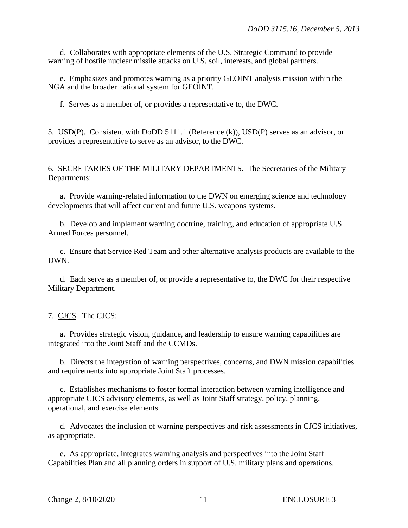d. Collaborates with appropriate elements of the U.S. Strategic Command to provide warning of hostile nuclear missile attacks on U.S. soil, interests, and global partners.

e. Emphasizes and promotes warning as a priority GEOINT analysis mission within the NGA and the broader national system for GEOINT.

f. Serves as a member of, or provides a representative to, the DWC.

5. USD(P). Consistent with DoDD 5111.1 (Reference (k)), USD(P) serves as an advisor, or provides a representative to serve as an advisor, to the DWC.

6. SECRETARIES OF THE MILITARY DEPARTMENTS. The Secretaries of the Military Departments:

 a. Provide warning-related information to the DWN on emerging science and technology developments that will affect current and future U.S. weapons systems.

 b. Develop and implement warning doctrine, training, and education of appropriate U.S. Armed Forces personnel.

c. Ensure that Service Red Team and other alternative analysis products are available to the DWN.

 d. Each serve as a member of, or provide a representative to, the DWC for their respective Military Department.

## 7. CJCS. The CJCS:

 a. Provides strategic vision, guidance, and leadership to ensure warning capabilities are integrated into the Joint Staff and the CCMDs.

 b. Directs the integration of warning perspectives, concerns, and DWN mission capabilities and requirements into appropriate Joint Staff processes.

c. Establishes mechanisms to foster formal interaction between warning intelligence and appropriate CJCS advisory elements, as well as Joint Staff strategy, policy, planning, operational, and exercise elements.

 d. Advocates the inclusion of warning perspectives and risk assessments in CJCS initiatives, as appropriate.

e. As appropriate, integrates warning analysis and perspectives into the Joint Staff Capabilities Plan and all planning orders in support of U.S. military plans and operations.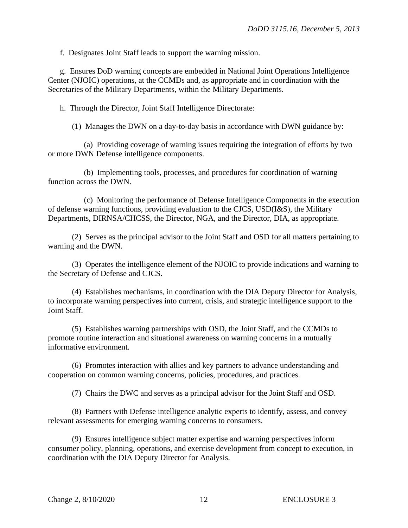f. Designates Joint Staff leads to support the warning mission.

 g. Ensures DoD warning concepts are embedded in National Joint Operations Intelligence Center (NJOIC) operations, at the CCMDs and, as appropriate and in coordination with the Secretaries of the Military Departments, within the Military Departments.

h. Through the Director, Joint Staff Intelligence Directorate:

(1) Manages the DWN on a day-to-day basis in accordance with DWN guidance by:

 (a) Providing coverage of warning issues requiring the integration of efforts by two or more DWN Defense intelligence components.

 (b) Implementing tools, processes, and procedures for coordination of warning function across the DWN.

 (c) Monitoring the performance of Defense Intelligence Components in the execution of defense warning functions, providing evaluation to the CJCS, USD(I&S), the Military Departments, DIRNSA/CHCSS, the Director, NGA, and the Director, DIA, as appropriate.

 (2) Serves as the principal advisor to the Joint Staff and OSD for all matters pertaining to warning and the DWN.

 (3) Operates the intelligence element of the NJOIC to provide indications and warning to the Secretary of Defense and CJCS.

 (4) Establishes mechanisms, in coordination with the DIA Deputy Director for Analysis, to incorporate warning perspectives into current, crisis, and strategic intelligence support to the Joint Staff.

 (5) Establishes warning partnerships with OSD, the Joint Staff, and the CCMDs to promote routine interaction and situational awareness on warning concerns in a mutually informative environment.

 (6) Promotes interaction with allies and key partners to advance understanding and cooperation on common warning concerns, policies, procedures, and practices.

(7) Chairs the DWC and serves as a principal advisor for the Joint Staff and OSD.

 (8) Partners with Defense intelligence analytic experts to identify, assess, and convey relevant assessments for emerging warning concerns to consumers.

 (9) Ensures intelligence subject matter expertise and warning perspectives inform consumer policy, planning, operations, and exercise development from concept to execution, in coordination with the DIA Deputy Director for Analysis.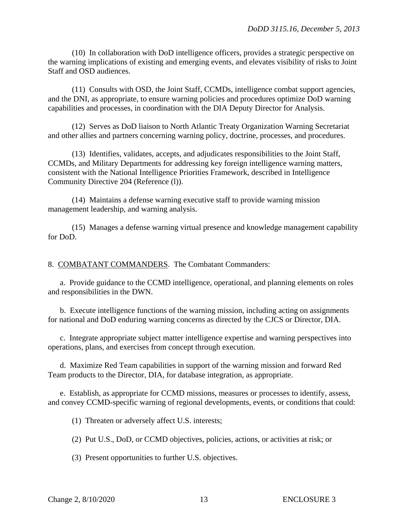(10) In collaboration with DoD intelligence officers, provides a strategic perspective on the warning implications of existing and emerging events, and elevates visibility of risks to Joint Staff and OSD audiences.

 (11) Consults with OSD, the Joint Staff, CCMDs, intelligence combat support agencies, and the DNI, as appropriate, to ensure warning policies and procedures optimize DoD warning capabilities and processes, in coordination with the DIA Deputy Director for Analysis.

 (12) Serves as DoD liaison to North Atlantic Treaty Organization Warning Secretariat and other allies and partners concerning warning policy, doctrine, processes, and procedures.

 (13) Identifies, validates, accepts, and adjudicates responsibilities to the Joint Staff, CCMDs, and Military Departments for addressing key foreign intelligence warning matters, consistent with the National Intelligence Priorities Framework, described in Intelligence Community Directive 204 (Reference (l)).

 (14) Maintains a defense warning executive staff to provide warning mission management leadership, and warning analysis.

 (15) Manages a defense warning virtual presence and knowledge management capability for DoD.

8. COMBATANT COMMANDERS. The Combatant Commanders:

 a. Provide guidance to the CCMD intelligence, operational, and planning elements on roles and responsibilities in the DWN.

 b. Execute intelligence functions of the warning mission, including acting on assignments for national and DoD enduring warning concerns as directed by the CJCS or Director, DIA.

c. Integrate appropriate subject matter intelligence expertise and warning perspectives into operations, plans, and exercises from concept through execution.

 d. Maximize Red Team capabilities in support of the warning mission and forward Red Team products to the Director, DIA, for database integration, as appropriate.

 e. Establish, as appropriate for CCMD missions, measures or processes to identify, assess, and convey CCMD-specific warning of regional developments, events, or conditions that could:

(1) Threaten or adversely affect U.S. interests;

(2) Put U.S., DoD, or CCMD objectives, policies, actions, or activities at risk; or

(3) Present opportunities to further U.S. objectives.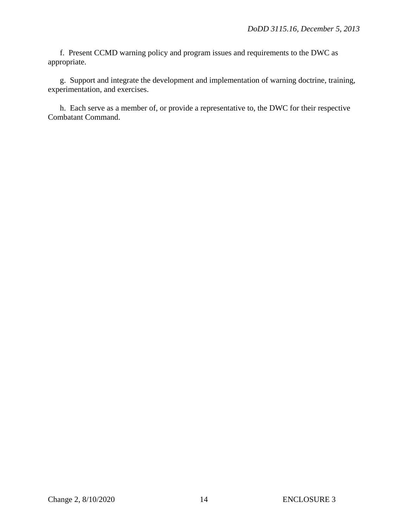f. Present CCMD warning policy and program issues and requirements to the DWC as appropriate.

 g. Support and integrate the development and implementation of warning doctrine, training, experimentation, and exercises.

 h. Each serve as a member of, or provide a representative to, the DWC for their respective Combatant Command.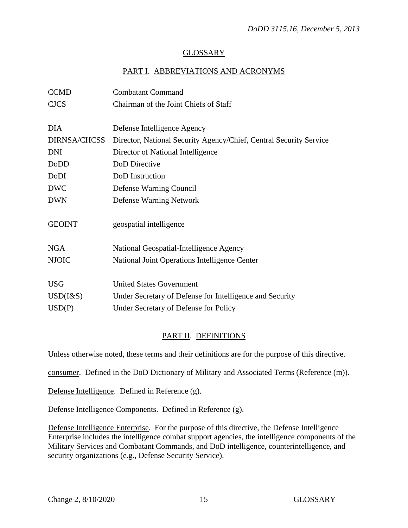## GLOSSARY

## PART I. ABBREVIATIONS AND ACRONYMS

| <b>CCMD</b>         | <b>Combatant Command</b>                                           |
|---------------------|--------------------------------------------------------------------|
| <b>CJCS</b>         | Chairman of the Joint Chiefs of Staff                              |
|                     |                                                                    |
| <b>DIA</b>          | Defense Intelligence Agency                                        |
| <b>DIRNSA/CHCSS</b> | Director, National Security Agency/Chief, Central Security Service |
| <b>DNI</b>          | Director of National Intelligence                                  |
| DoDD                | DoD Directive                                                      |
| <b>DoDI</b>         | DoD Instruction                                                    |
| <b>DWC</b>          | Defense Warning Council                                            |
| <b>DWN</b>          | Defense Warning Network                                            |
|                     |                                                                    |
| <b>GEOINT</b>       | geospatial intelligence                                            |
|                     |                                                                    |
| <b>NGA</b>          | National Geospatial-Intelligence Agency                            |
| <b>NJOIC</b>        | National Joint Operations Intelligence Center                      |
|                     |                                                                    |
| <b>USG</b>          | <b>United States Government</b>                                    |
| $USD(I\&S)$         | Under Secretary of Defense for Intelligence and Security           |
| USD(P)              | Under Secretary of Defense for Policy                              |
|                     |                                                                    |

## PART II. DEFINITIONS

Unless otherwise noted, these terms and their definitions are for the purpose of this directive.

consumer. Defined in the DoD Dictionary of Military and Associated Terms (Reference (m)).

Defense Intelligence. Defined in Reference (g).

Defense Intelligence Components. Defined in Reference (g).

Defense Intelligence Enterprise. For the purpose of this directive, the Defense Intelligence Enterprise includes the intelligence combat support agencies, the intelligence components of the Military Services and Combatant Commands, and DoD intelligence, counterintelligence, and security organizations (e.g., Defense Security Service).